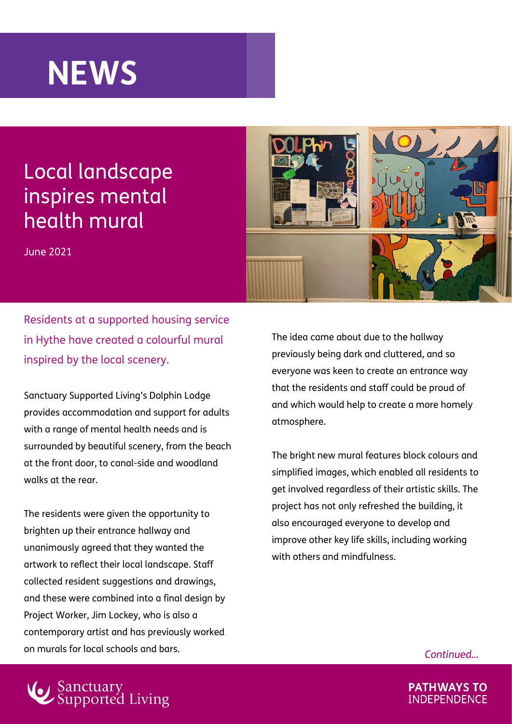## **NEWS**

## Local landscape inspires mental health mural

June 2021



Residents at a supported housing service in Hythe have created a colourful mural inspired by the local scenery.

Sanctuary Supported Living's Dolphin Lodge provides accommodation and support for adults with a range of mental health needs and is surrounded by beautiful scenery, from the beach at the front door, to canal-side and woodland walks at the rear.

The residents were given the opportunity to brighten up their entrance hallway and unanimously agreed that they wanted the artwork to reflect their local landscape. Staff collected resident suggestions and drawings, and these were combined into a final design by Project Worker, Jim Lockey, who is also a contemporary artist and has previously worked on murals for local schools and bars.

The idea came about due to the hallway previously being dark and cluttered, and so everyone was keen to create an entrance way that the residents and staff could be proud of and which would help to create a more homely atmosphere.

The bright new mural features block colours and simplified images, which enabled all residents to get involved regardless of their artistic skills. The project has not only refreshed the building, it also encouraged everyone to develop and improve other key life skills, including working with others and mindfulness.

*Continued…*



**PATHWAYS TO INDEPENDENCE**